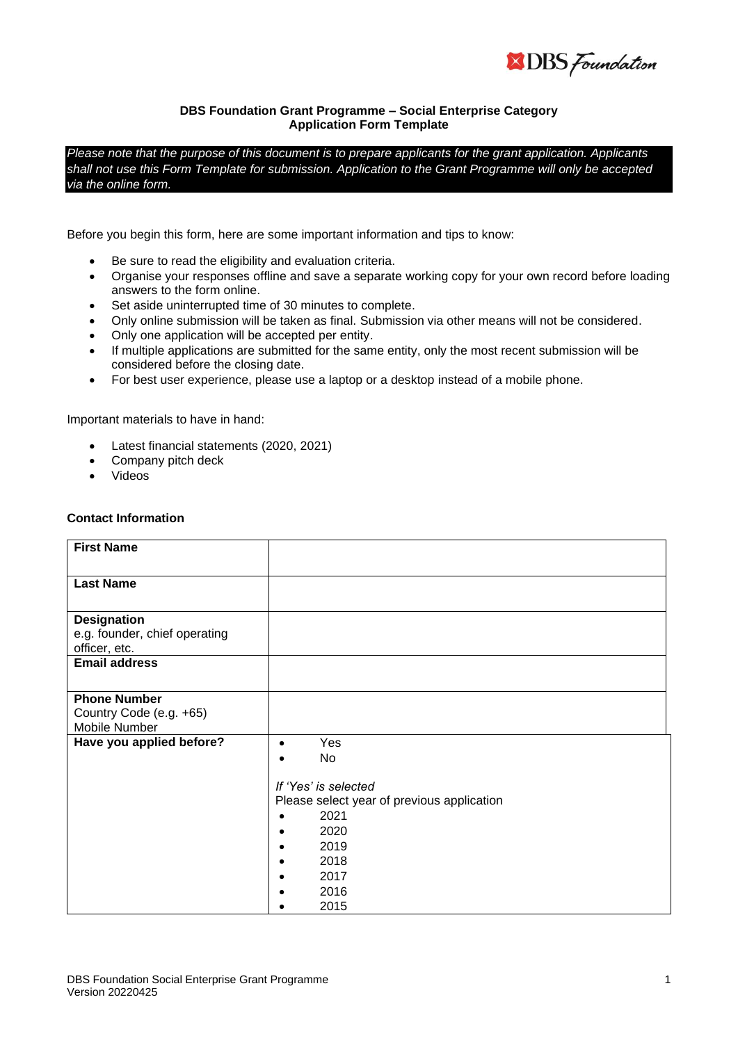

#### **DBS Foundation Grant Programme – Social Enterprise Category Application Form Template**

*Please note that the purpose of this document is to prepare applicants for the grant application. Applicants shall not use this Form Template for submission. Application to the Grant Programme will only be accepted via the online form.*

Before you begin this form, here are some important information and tips to know:

- Be sure to read the eligibility and evaluation criteria.
- Organise your responses offline and save a separate working copy for your own record before loading answers to the form online.
- Set aside uninterrupted time of 30 minutes to complete.
- Only online submission will be taken as final. Submission via other means will not be considered.
- Only one application will be accepted per entity.
- If multiple applications are submitted for the same entity, only the most recent submission will be considered before the closing date.
- For best user experience, please use a laptop or a desktop instead of a mobile phone.

Important materials to have in hand:

- Latest financial statements (2020, 2021)
- Company pitch deck
- Videos

#### **Contact Information**

| <b>First Name</b>             |                                            |
|-------------------------------|--------------------------------------------|
|                               |                                            |
| <b>Last Name</b>              |                                            |
|                               |                                            |
| <b>Designation</b>            |                                            |
| e.g. founder, chief operating |                                            |
| officer, etc.                 |                                            |
| <b>Email address</b>          |                                            |
|                               |                                            |
| <b>Phone Number</b>           |                                            |
| Country Code (e.g. +65)       |                                            |
| Mobile Number                 |                                            |
| Have you applied before?      | Yes<br>$\bullet$                           |
|                               | No<br>٠                                    |
|                               |                                            |
|                               | If 'Yes' is selected                       |
|                               | Please select year of previous application |
|                               | 2021                                       |
|                               | 2020<br>٠                                  |
|                               | 2019                                       |
|                               | 2018                                       |
|                               | 2017                                       |
|                               | 2016                                       |
|                               | 2015                                       |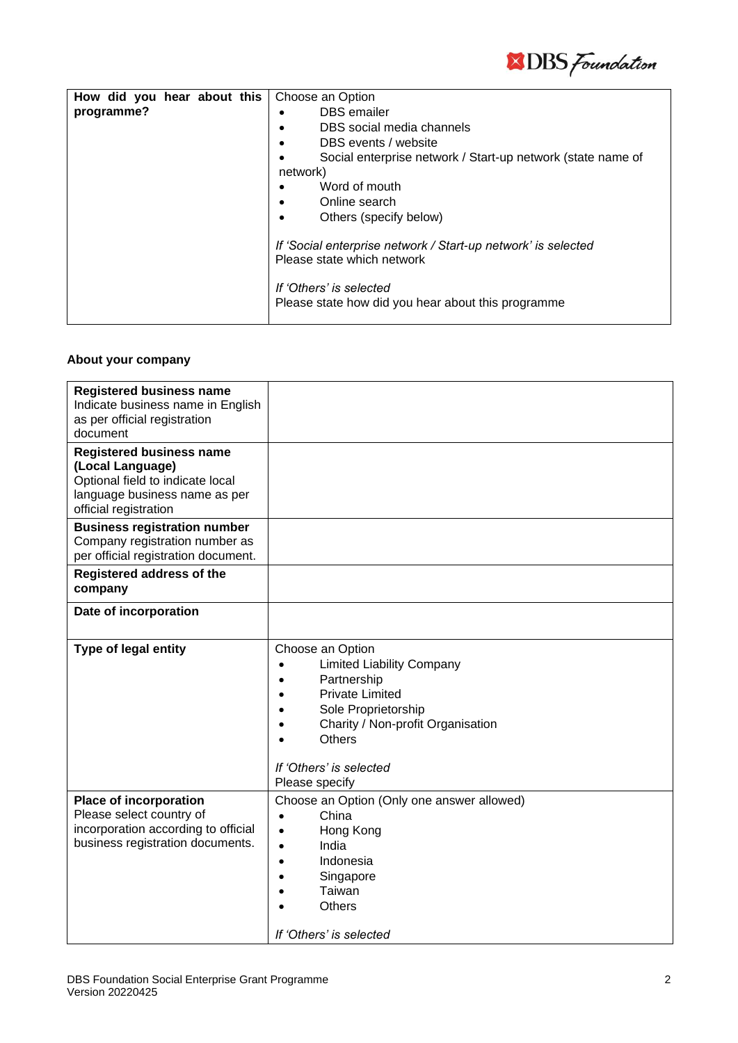

| How did you hear about this<br>programme? | Choose an Option<br>DBS emailer<br>$\bullet$<br>DBS social media channels<br>$\bullet$<br>DBS events / website<br>$\bullet$<br>Social enterprise network / Start-up network (state name of<br>$\bullet$<br>network)<br>Word of mouth<br>٠<br>Online search<br>$\bullet$<br>Others (specify below)<br>٠ |
|-------------------------------------------|--------------------------------------------------------------------------------------------------------------------------------------------------------------------------------------------------------------------------------------------------------------------------------------------------------|
|                                           | If 'Social enterprise network / Start-up network' is selected<br>Please state which network                                                                                                                                                                                                            |
|                                           | If 'Others' is selected<br>Please state how did you hear about this programme                                                                                                                                                                                                                          |

# **About your company**

| <b>Registered business name</b><br>Indicate business name in English<br>as per official registration<br>document                                  |                                                                                                                                                                                                                                      |
|---------------------------------------------------------------------------------------------------------------------------------------------------|--------------------------------------------------------------------------------------------------------------------------------------------------------------------------------------------------------------------------------------|
| <b>Registered business name</b><br>(Local Language)<br>Optional field to indicate local<br>language business name as per<br>official registration |                                                                                                                                                                                                                                      |
| <b>Business registration number</b><br>Company registration number as<br>per official registration document.                                      |                                                                                                                                                                                                                                      |
| <b>Registered address of the</b><br>company                                                                                                       |                                                                                                                                                                                                                                      |
| Date of incorporation                                                                                                                             |                                                                                                                                                                                                                                      |
| <b>Type of legal entity</b>                                                                                                                       | Choose an Option<br><b>Limited Liability Company</b><br>Partnership<br><b>Private Limited</b><br>Sole Proprietorship<br>Charity / Non-profit Organisation<br><b>Others</b><br>$\bullet$<br>If 'Others' is selected<br>Please specify |
| <b>Place of incorporation</b><br>Please select country of<br>incorporation according to official<br>business registration documents.              | Choose an Option (Only one answer allowed)<br>China<br>$\bullet$<br>Hong Kong<br>$\bullet$<br>India<br>$\bullet$<br>Indonesia<br>$\bullet$<br>Singapore<br>Taiwan<br><b>Others</b><br>If 'Others' is selected                        |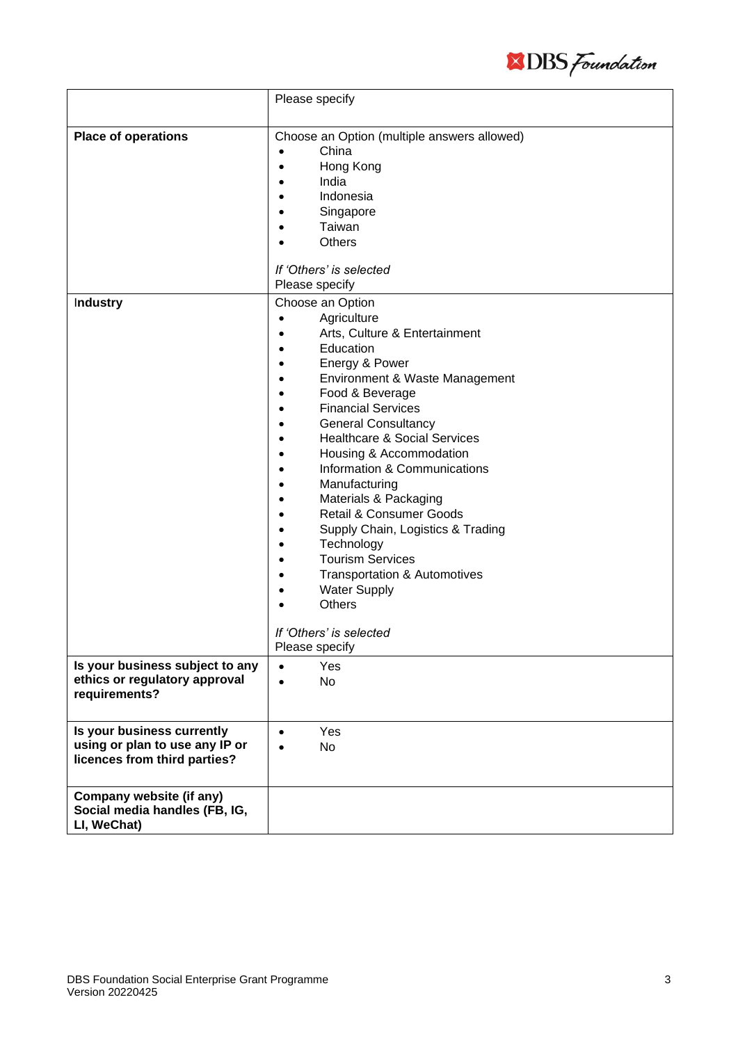

|                                                                                              | Please specify                                                                                                                                                                                                                                                                                                                                                                                                                                                                                                                                                                                                                                                                                                                                                     |
|----------------------------------------------------------------------------------------------|--------------------------------------------------------------------------------------------------------------------------------------------------------------------------------------------------------------------------------------------------------------------------------------------------------------------------------------------------------------------------------------------------------------------------------------------------------------------------------------------------------------------------------------------------------------------------------------------------------------------------------------------------------------------------------------------------------------------------------------------------------------------|
| <b>Place of operations</b>                                                                   | Choose an Option (multiple answers allowed)<br>China<br>$\bullet$<br>Hong Kong<br>India<br>$\bullet$<br>Indonesia<br>Singapore<br>Taiwan<br>Others<br>If 'Others' is selected<br>Please specify                                                                                                                                                                                                                                                                                                                                                                                                                                                                                                                                                                    |
| Industry                                                                                     | Choose an Option<br>Agriculture<br>٠<br>Arts, Culture & Entertainment<br>$\bullet$<br>Education<br>$\bullet$<br>Energy & Power<br>$\bullet$<br>Environment & Waste Management<br>$\bullet$<br>Food & Beverage<br>$\bullet$<br><b>Financial Services</b><br><b>General Consultancy</b><br><b>Healthcare &amp; Social Services</b><br>$\bullet$<br>Housing & Accommodation<br>$\bullet$<br>Information & Communications<br>$\bullet$<br>Manufacturing<br>Materials & Packaging<br><b>Retail &amp; Consumer Goods</b><br>Supply Chain, Logistics & Trading<br>Technology<br><b>Tourism Services</b><br>$\bullet$<br>Transportation & Automotives<br>$\bullet$<br><b>Water Supply</b><br>$\bullet$<br>Others<br>$\bullet$<br>If 'Others' is selected<br>Please specify |
| Is your business subject to any<br>ethics or regulatory approval<br>requirements?            | Yes<br>$\bullet$<br>No<br>$\bullet$                                                                                                                                                                                                                                                                                                                                                                                                                                                                                                                                                                                                                                                                                                                                |
| Is your business currently<br>using or plan to use any IP or<br>licences from third parties? | Yes<br>$\bullet$<br>No<br>$\bullet$                                                                                                                                                                                                                                                                                                                                                                                                                                                                                                                                                                                                                                                                                                                                |
| Company website (if any)<br>Social media handles (FB, IG,<br>LI, WeChat)                     |                                                                                                                                                                                                                                                                                                                                                                                                                                                                                                                                                                                                                                                                                                                                                                    |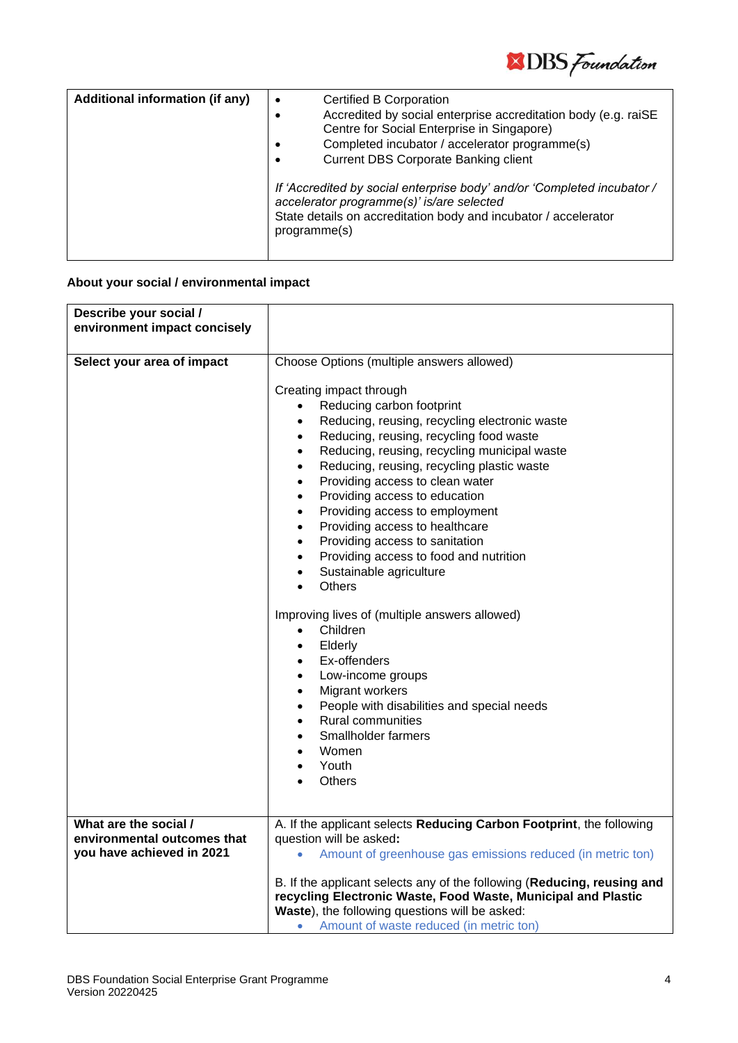

| Additional information (if any) | Certified B Corporation<br>$\bullet$<br>Accredited by social enterprise accreditation body (e.g. raiSE<br>Centre for Social Enterprise in Singapore)<br>Completed incubator / accelerator programme(s)<br>٠<br><b>Current DBS Corporate Banking client</b> |
|---------------------------------|------------------------------------------------------------------------------------------------------------------------------------------------------------------------------------------------------------------------------------------------------------|
|                                 | If 'Accredited by social enterprise body' and/or 'Completed incubator /<br>accelerator programme(s)' is/are selected<br>State details on accreditation body and incubator / accelerator<br>programme(s)                                                    |

## **About your social / environmental impact**

| Describe your social /<br>environment impact concisely                            |                                                                                                                                                                                                                                                                                                                                                                                                                                                                                                                                                                                                                                                                                                                                                                                                                                                                                                                                                                                                          |
|-----------------------------------------------------------------------------------|----------------------------------------------------------------------------------------------------------------------------------------------------------------------------------------------------------------------------------------------------------------------------------------------------------------------------------------------------------------------------------------------------------------------------------------------------------------------------------------------------------------------------------------------------------------------------------------------------------------------------------------------------------------------------------------------------------------------------------------------------------------------------------------------------------------------------------------------------------------------------------------------------------------------------------------------------------------------------------------------------------|
| Select your area of impact                                                        | Choose Options (multiple answers allowed)<br>Creating impact through<br>Reducing carbon footprint<br>$\bullet$<br>Reducing, reusing, recycling electronic waste<br>Reducing, reusing, recycling food waste<br>$\bullet$<br>Reducing, reusing, recycling municipal waste<br>$\bullet$<br>Reducing, reusing, recycling plastic waste<br>$\bullet$<br>Providing access to clean water<br>$\bullet$<br>Providing access to education<br>$\bullet$<br>Providing access to employment<br>$\bullet$<br>Providing access to healthcare<br>$\bullet$<br>Providing access to sanitation<br>$\bullet$<br>Providing access to food and nutrition<br>Sustainable agriculture<br><b>Others</b><br>$\bullet$<br>Improving lives of (multiple answers allowed)<br>Children<br>$\bullet$<br>Elderly<br>$\bullet$<br>Ex-offenders<br>Low-income groups<br>Migrant workers<br>$\bullet$<br>People with disabilities and special needs<br><b>Rural communities</b><br>Smallholder farmers<br>Women<br>Youth<br><b>Others</b> |
| What are the social /<br>environmental outcomes that<br>you have achieved in 2021 | A. If the applicant selects Reducing Carbon Footprint, the following<br>question will be asked:<br>Amount of greenhouse gas emissions reduced (in metric ton)<br>B. If the applicant selects any of the following (Reducing, reusing and<br>recycling Electronic Waste, Food Waste, Municipal and Plastic<br>Waste), the following questions will be asked:<br>Amount of waste reduced (in metric ton)<br>٠                                                                                                                                                                                                                                                                                                                                                                                                                                                                                                                                                                                              |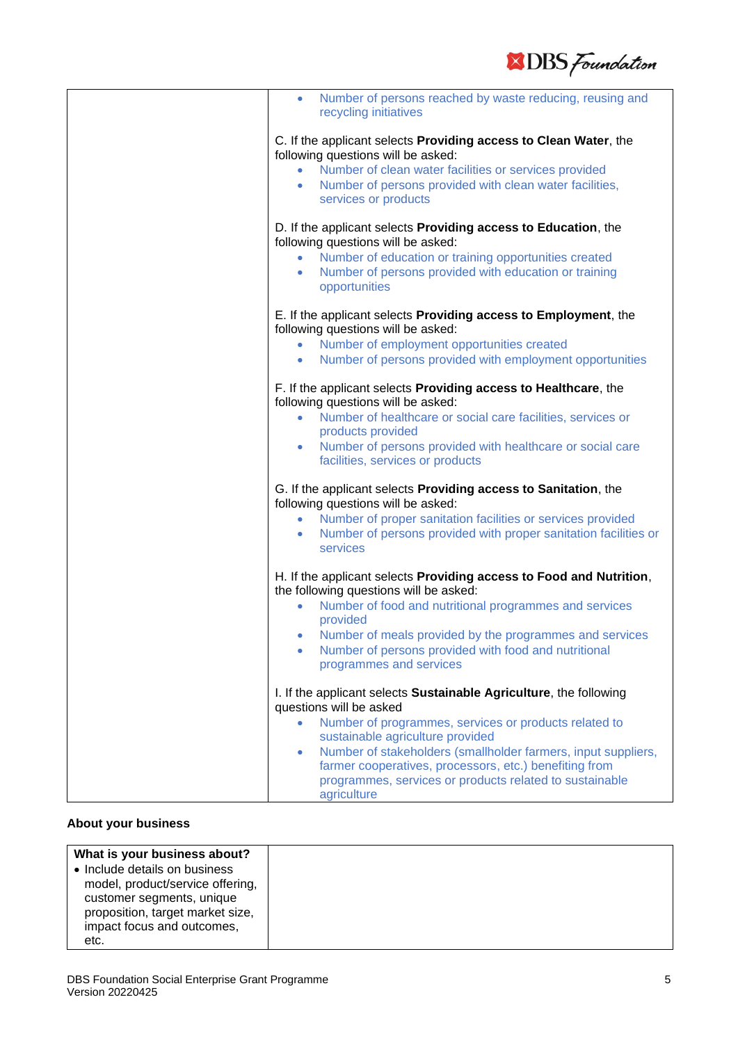**XIDBS** Foundation

| Number of persons reached by waste reducing, reusing and<br>$\bullet$<br>recycling initiatives                    |
|-------------------------------------------------------------------------------------------------------------------|
| C. If the applicant selects Providing access to Clean Water, the<br>following questions will be asked:            |
| Number of clean water facilities or services provided<br>$\bullet$                                                |
| Number of persons provided with clean water facilities,<br>۰                                                      |
| services or products                                                                                              |
| D. If the applicant selects Providing access to Education, the<br>following questions will be asked:              |
| Number of education or training opportunities created                                                             |
| Number of persons provided with education or training                                                             |
| opportunities                                                                                                     |
| E. If the applicant selects Providing access to Employment, the<br>following questions will be asked:             |
| Number of employment opportunities created                                                                        |
| Number of persons provided with employment opportunities<br>$\bullet$                                             |
| F. If the applicant selects Providing access to Healthcare, the<br>following questions will be asked:             |
| Number of healthcare or social care facilities, services or<br>$\bullet$<br>products provided                     |
| • Number of persons provided with healthcare or social care<br>facilities, services or products                   |
| G. If the applicant selects Providing access to Sanitation, the<br>following questions will be asked:             |
| Number of proper sanitation facilities or services provided<br>$\bullet$                                          |
| Number of persons provided with proper sanitation facilities or<br>$\bullet$                                      |
| services                                                                                                          |
| H. If the applicant selects Providing access to Food and Nutrition,<br>the following questions will be asked:     |
| Number of food and nutritional programmes and services<br>provided                                                |
| Number of meals provided by the programmes and services                                                           |
| Number of persons provided with food and nutritional                                                              |
| programmes and services                                                                                           |
| I. If the applicant selects Sustainable Agriculture, the following<br>questions will be asked                     |
| Number of programmes, services or products related to<br>sustainable agriculture provided                         |
| Number of stakeholders (smallholder farmers, input suppliers,<br>$\bullet$                                        |
| farmer cooperatives, processors, etc.) benefiting from<br>programmes, services or products related to sustainable |
| agriculture                                                                                                       |

# **About your business**

| What is your business about?<br>• Include details on business<br>model, product/service offering,<br>customer segments, unique<br>proposition, target market size, |
|--------------------------------------------------------------------------------------------------------------------------------------------------------------------|
| impact focus and outcomes,<br>etc.                                                                                                                                 |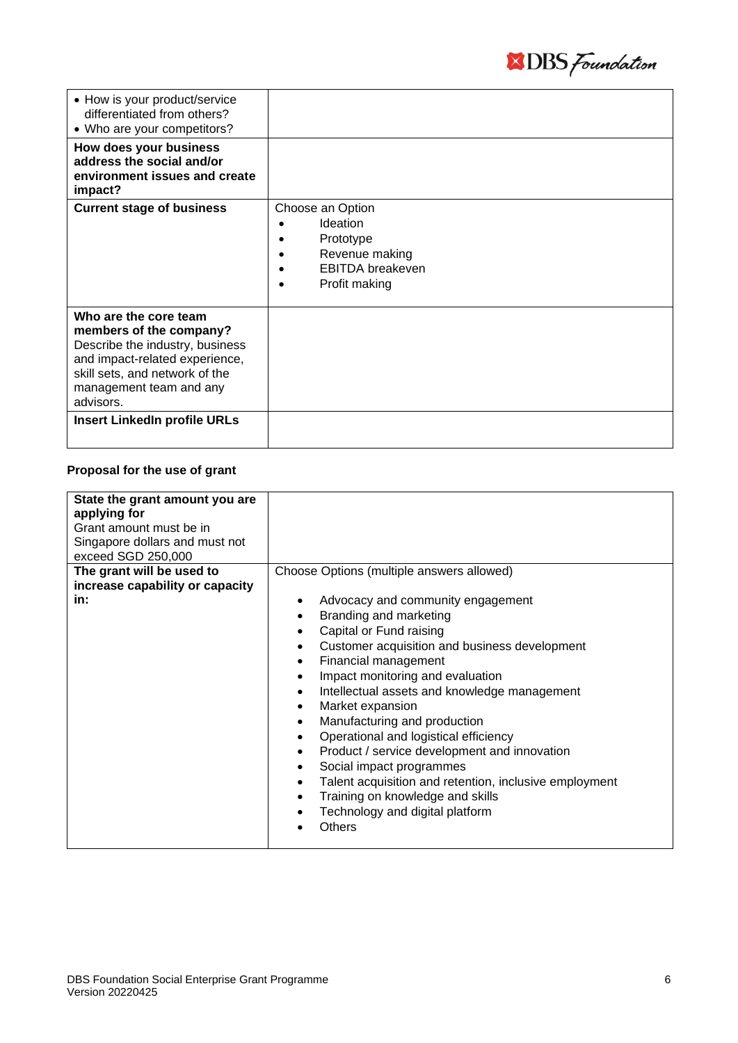

| • How is your product/service<br>differentiated from others?<br>• Who are your competitors?                                                                                                                                            |                                                                                                                                   |
|----------------------------------------------------------------------------------------------------------------------------------------------------------------------------------------------------------------------------------------|-----------------------------------------------------------------------------------------------------------------------------------|
| How does your business<br>address the social and/or<br>environment issues and create<br>impact?                                                                                                                                        |                                                                                                                                   |
| <b>Current stage of business</b>                                                                                                                                                                                                       | Choose an Option<br>Ideation<br>Prototype<br>Revenue making<br>$\bullet$<br><b>EBITDA</b> breakeven<br>Profit making<br>$\bullet$ |
| Who are the core team<br>members of the company?<br>Describe the industry, business<br>and impact-related experience,<br>skill sets, and network of the<br>management team and any<br>advisors.<br><b>Insert LinkedIn profile URLs</b> |                                                                                                                                   |
|                                                                                                                                                                                                                                        |                                                                                                                                   |

# **Proposal for the use of grant**

| State the grant amount you are<br>applying for<br>Grant amount must be in<br>Singapore dollars and must not<br>exceed SGD 250,000 |                                                                                                                                                                                                                                                                                                                                                                                                                                                                                                                                                                                                                                                                                                                                                 |
|-----------------------------------------------------------------------------------------------------------------------------------|-------------------------------------------------------------------------------------------------------------------------------------------------------------------------------------------------------------------------------------------------------------------------------------------------------------------------------------------------------------------------------------------------------------------------------------------------------------------------------------------------------------------------------------------------------------------------------------------------------------------------------------------------------------------------------------------------------------------------------------------------|
| The grant will be used to<br>increase capability or capacity<br>in:                                                               | Choose Options (multiple answers allowed)<br>Advocacy and community engagement<br>٠<br>Branding and marketing<br>٠<br>Capital or Fund raising<br>Customer acquisition and business development<br>$\bullet$<br>Financial management<br>٠<br>Impact monitoring and evaluation<br>$\bullet$<br>Intellectual assets and knowledge management<br>$\bullet$<br>Market expansion<br>$\bullet$<br>Manufacturing and production<br>٠<br>Operational and logistical efficiency<br>Product / service development and innovation<br>$\bullet$<br>Social impact programmes<br>٠<br>Talent acquisition and retention, inclusive employment<br>$\bullet$<br>Training on knowledge and skills<br>$\bullet$<br>Technology and digital platform<br><b>Others</b> |
|                                                                                                                                   |                                                                                                                                                                                                                                                                                                                                                                                                                                                                                                                                                                                                                                                                                                                                                 |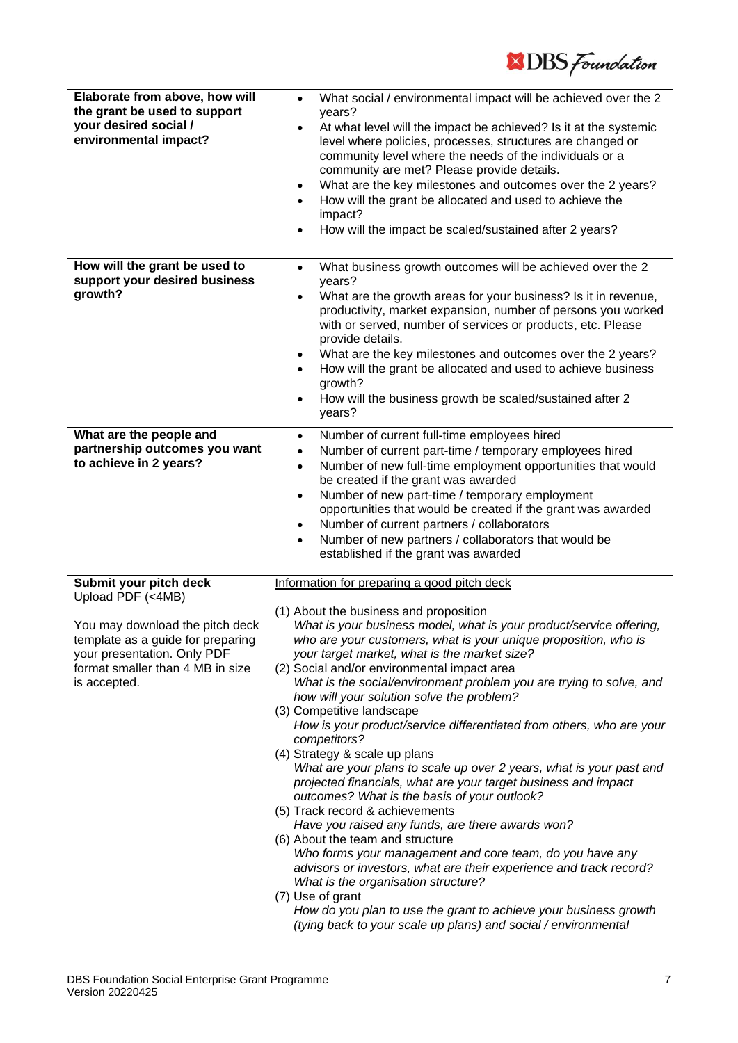

| Elaborate from above, how will<br>the grant be used to support<br>your desired social /<br>environmental impact?                                                                                       | What social / environmental impact will be achieved over the 2<br>$\bullet$<br>years?<br>At what level will the impact be achieved? Is it at the systemic<br>$\bullet$<br>level where policies, processes, structures are changed or<br>community level where the needs of the individuals or a<br>community are met? Please provide details.<br>What are the key milestones and outcomes over the 2 years?<br>$\bullet$<br>How will the grant be allocated and used to achieve the<br>impact?<br>How will the impact be scaled/sustained after 2 years?<br>$\bullet$                                                                                                                                                                                                                                                                                                                                                                                                                                                                                                                                                                                                                                                                                           |
|--------------------------------------------------------------------------------------------------------------------------------------------------------------------------------------------------------|-----------------------------------------------------------------------------------------------------------------------------------------------------------------------------------------------------------------------------------------------------------------------------------------------------------------------------------------------------------------------------------------------------------------------------------------------------------------------------------------------------------------------------------------------------------------------------------------------------------------------------------------------------------------------------------------------------------------------------------------------------------------------------------------------------------------------------------------------------------------------------------------------------------------------------------------------------------------------------------------------------------------------------------------------------------------------------------------------------------------------------------------------------------------------------------------------------------------------------------------------------------------|
| How will the grant be used to<br>support your desired business<br>growth?                                                                                                                              | What business growth outcomes will be achieved over the 2<br>$\bullet$<br>years?<br>What are the growth areas for your business? Is it in revenue,<br>٠<br>productivity, market expansion, number of persons you worked<br>with or served, number of services or products, etc. Please<br>provide details.<br>What are the key milestones and outcomes over the 2 years?<br>How will the grant be allocated and used to achieve business<br>$\bullet$<br>growth?<br>How will the business growth be scaled/sustained after 2<br>years?                                                                                                                                                                                                                                                                                                                                                                                                                                                                                                                                                                                                                                                                                                                          |
| What are the people and<br>partnership outcomes you want<br>to achieve in 2 years?                                                                                                                     | Number of current full-time employees hired<br>$\bullet$<br>Number of current part-time / temporary employees hired<br>$\bullet$<br>Number of new full-time employment opportunities that would<br>$\bullet$<br>be created if the grant was awarded<br>Number of new part-time / temporary employment<br>$\bullet$<br>opportunities that would be created if the grant was awarded<br>Number of current partners / collaborators<br>Number of new partners / collaborators that would be<br>$\bullet$<br>established if the grant was awarded                                                                                                                                                                                                                                                                                                                                                                                                                                                                                                                                                                                                                                                                                                                   |
| Submit your pitch deck<br>Upload PDF (<4MB)<br>You may download the pitch deck<br>template as a guide for preparing<br>your presentation. Only PDF<br>format smaller than 4 MB in size<br>is accepted. | Information for preparing a good pitch deck<br>(1) About the business and proposition<br>What is your business model, what is your product/service offering,<br>who are your customers, what is your unique proposition, who is<br>your target market, what is the market size?<br>(2) Social and/or environmental impact area<br>What is the social/environment problem you are trying to solve, and<br>how will your solution solve the problem?<br>(3) Competitive landscape<br>How is your product/service differentiated from others, who are your<br>competitors?<br>(4) Strategy & scale up plans<br>What are your plans to scale up over 2 years, what is your past and<br>projected financials, what are your target business and impact<br>outcomes? What is the basis of your outlook?<br>(5) Track record & achievements<br>Have you raised any funds, are there awards won?<br>(6) About the team and structure<br>Who forms your management and core team, do you have any<br>advisors or investors, what are their experience and track record?<br>What is the organisation structure?<br>(7) Use of grant<br>How do you plan to use the grant to achieve your business growth<br>(tying back to your scale up plans) and social / environmental |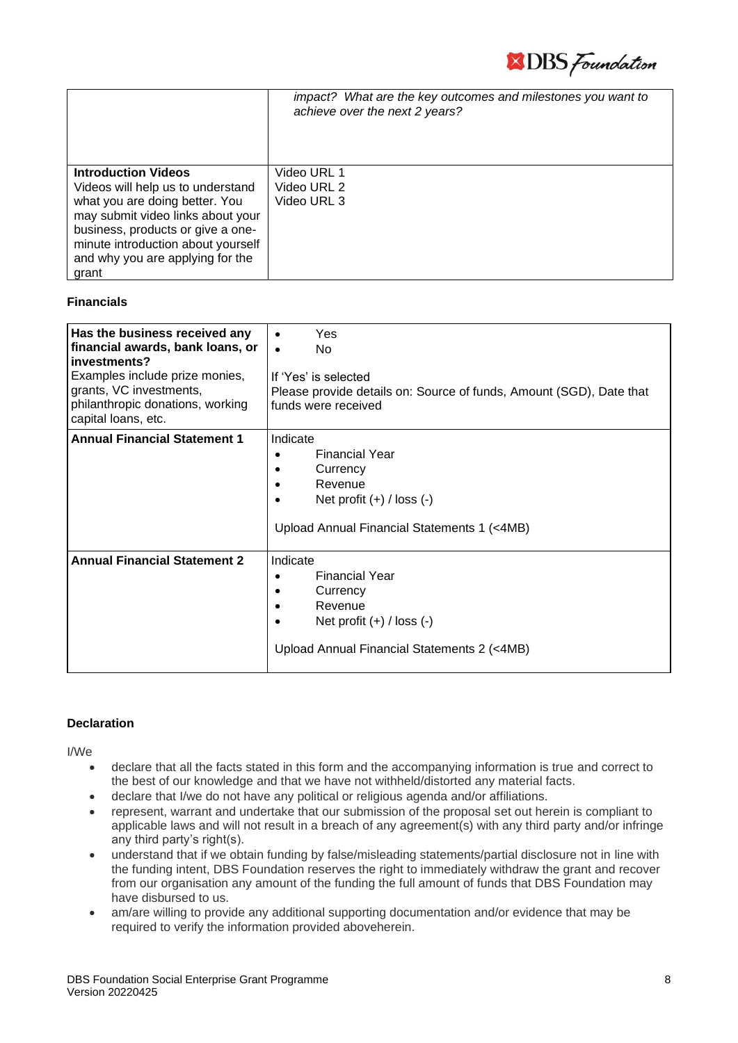

|                                                                                                                                                                                                                                                                | impact? What are the key outcomes and milestones you want to<br>achieve over the next 2 years? |
|----------------------------------------------------------------------------------------------------------------------------------------------------------------------------------------------------------------------------------------------------------------|------------------------------------------------------------------------------------------------|
| <b>Introduction Videos</b><br>Videos will help us to understand<br>what you are doing better. You<br>may submit video links about your<br>business, products or give a one-<br>minute introduction about yourself<br>and why you are applying for the<br>grant | Video URL 1<br>Video URL 2<br>Video URL 3                                                      |

### **Financials**

| Has the business received any<br>financial awards, bank loans, or<br>investments?<br>Examples include prize monies,<br>grants, VC investments,<br>philanthropic donations, working<br>capital loans, etc. | Yes<br>$\bullet$<br>No.<br>$\bullet$<br>If 'Yes' is selected<br>Please provide details on: Source of funds, Amount (SGD), Date that<br>funds were received |
|-----------------------------------------------------------------------------------------------------------------------------------------------------------------------------------------------------------|------------------------------------------------------------------------------------------------------------------------------------------------------------|
| <b>Annual Financial Statement 1</b>                                                                                                                                                                       | Indicate<br><b>Financial Year</b><br>Currency<br>٠<br>Revenue<br>Net profit $(+)$ / loss $(-)$<br>٠<br>Upload Annual Financial Statements 1 (<4MB)         |
| <b>Annual Financial Statement 2</b>                                                                                                                                                                       | Indicate<br><b>Financial Year</b><br>Currency<br>Revenue<br>٠<br>Net profit $(+)$ / loss $(-)$<br>Upload Annual Financial Statements 2 (<4MB)              |

### **Declaration**

I/We

- declare that all the facts stated in this form and the accompanying information is true and correct to the best of our knowledge and that we have not withheld/distorted any material facts.
- declare that I/we do not have any political or religious agenda and/or affiliations.
- represent, warrant and undertake that our submission of the proposal set out herein is compliant to applicable laws and will not result in a breach of any agreement(s) with any third party and/or infringe any third party's right(s).
- understand that if we obtain funding by false/misleading statements/partial disclosure not in line with the funding intent, DBS Foundation reserves the right to immediately withdraw the grant and recover from our organisation any amount of the funding the full amount of funds that DBS Foundation may have disbursed to us.
- am/are willing to provide any additional supporting documentation and/or evidence that may be required to verify the information provided aboveherein.